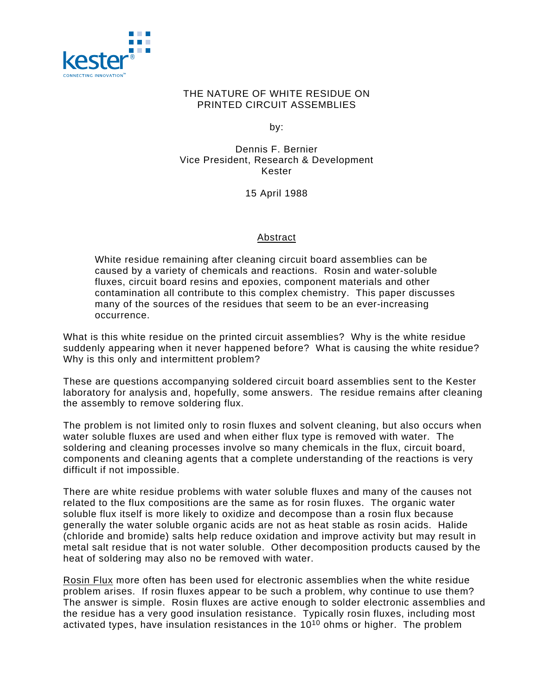

## THE NATURE OF WHITE RESIDUE ON PRINTED CIRCUIT ASSEMBLIES

by:

Dennis F. Bernier Vice President, Research & Development Kester

15 April 1988

## Abstract

White residue remaining after cleaning circuit board assemblies can be caused by a variety of chemicals and reactions. Rosin and water-soluble fluxes, circuit board resins and epoxies, component materials and other contamination all contribute to this complex chemistry. This paper discusses many of the sources of the residues that seem to be an ever-increasing occurrence.

What is this white residue on the printed circuit assemblies? Why is the white residue suddenly appearing when it never happened before? What is causing the white residue? Why is this only and intermittent problem?

These are questions accompanying soldered circuit board assemblies sent to the Kester laboratory for analysis and, hopefully, some answers. The residue remains after cleaning the assembly to remove soldering flux.

The problem is not limited only to rosin fluxes and solvent cleaning, but also occurs when water soluble fluxes are used and when either flux type is removed with water. The soldering and cleaning processes involve so many chemicals in the flux, circuit board, components and cleaning agents that a complete understanding of the reactions is very difficult if not impossible.

There are white residue problems with water soluble fluxes and many of the causes not related to the flux compositions are the same as for rosin fluxes. The organic water soluble flux itself is more likely to oxidize and decompose than a rosin flux because generally the water soluble organic acids are not as heat stable as rosin acids. Halide (chloride and bromide) salts help reduce oxidation and improve activity but may result in metal salt residue that is not water soluble. Other decomposition products caused by the heat of soldering may also no be removed with water.

Rosin Flux more often has been used for electronic assemblies when the white residue problem arises. If rosin fluxes appear to be such a problem, why continue to use them? The answer is simple. Rosin fluxes are active enough to solder electronic assemblies and the residue has a very good insulation resistance. Typically rosin fluxes, including most activated types, have insulation resistances in the 1010 ohms or higher. The problem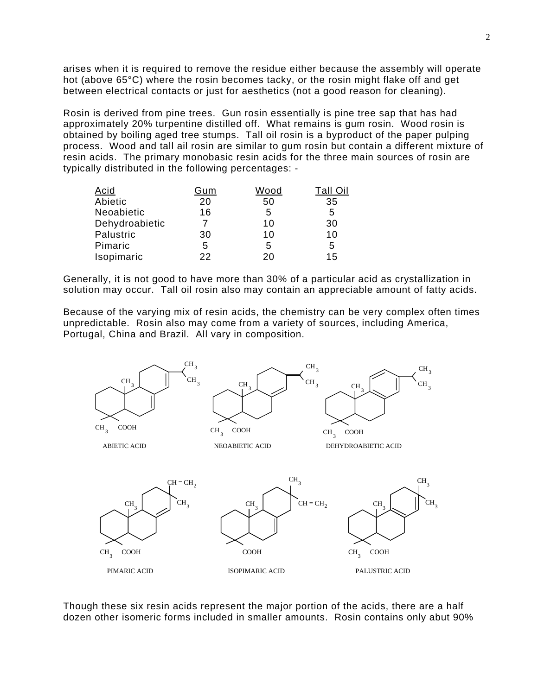arises when it is required to remove the residue either because the assembly will operate hot (above 65°C) where the rosin becomes tacky, or the rosin might flake off and get between electrical contacts or just for aesthetics (not a good reason for cleaning).

Rosin is derived from pine trees. Gun rosin essentially is pine tree sap that has had approximately 20% turpentine distilled off. What remains is gum rosin. Wood rosin is obtained by boiling aged tree stumps. Tall oil rosin is a byproduct of the paper pulping process. Wood and tall ail rosin are similar to gum rosin but contain a different mixture of resin acids. The primary monobasic resin acids for the three main sources of rosin are typically distributed in the following percentages: -

| <b>Acid</b>    | Gum | Wood |    |
|----------------|-----|------|----|
| Abietic        | 20  | 50   | 35 |
| Neoabietic     | 16  | 5    | 5  |
| Dehydroabietic |     | 10   | 30 |
| Palustric      | 30  | 10   | 10 |
| Pimaric        | 5   | 5    | 5  |
| Isopimaric     | 22  | 20   | 15 |

Generally, it is not good to have more than 30% of a particular acid as crystallization in solution may occur. Tall oil rosin also may contain an appreciable amount of fatty acids.

Because of the varying mix of resin acids, the chemistry can be very complex often times unpredictable. Rosin also may come from a variety of sources, including America, Portugal, China and Brazil. All vary in composition.



Though these six resin acids represent the major portion of the acids, there are a half dozen other isomeric forms included in smaller amounts. Rosin contains only abut 90%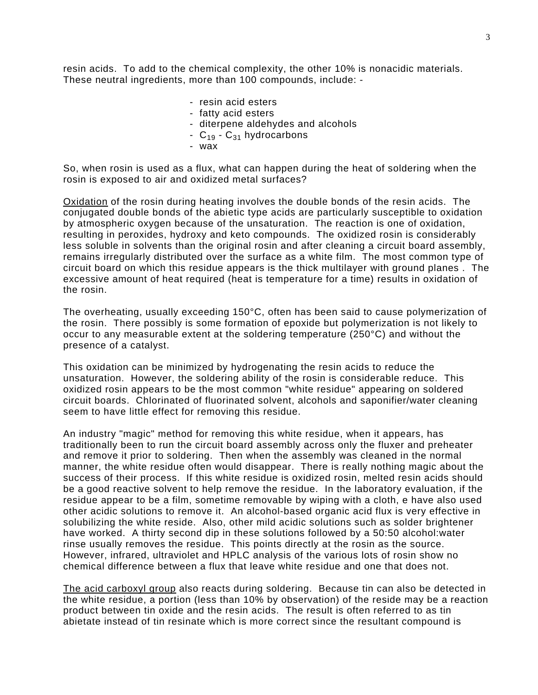resin acids. To add to the chemical complexity, the other 10% is nonacidic materials. These neutral ingredients, more than 100 compounds, include: -

- resin acid esters
- fatty acid esters
- diterpene aldehydes and alcohols
- $C_{19}$   $C_{31}$  hydrocarbons
- wax

So, when rosin is used as a flux, what can happen during the heat of soldering when the rosin is exposed to air and oxidized metal surfaces?

Oxidation of the rosin during heating involves the double bonds of the resin acids. The conjugated double bonds of the abietic type acids are particularly susceptible to oxidation by atmospheric oxygen because of the unsaturation. The reaction is one of oxidation, resulting in peroxides, hydroxy and keto compounds. The oxidized rosin is considerably less soluble in solvents than the original rosin and after cleaning a circuit board assembly, remains irregularly distributed over the surface as a white film. The most common type of circuit board on which this residue appears is the thick multilayer with ground planes . The excessive amount of heat required (heat is temperature for a time) results in oxidation of the rosin.

The overheating, usually exceeding 150°C, often has been said to cause polymerization of the rosin. There possibly is some formation of epoxide but polymerization is not likely to occur to any measurable extent at the soldering temperature (250°C) and without the presence of a catalyst.

This oxidation can be minimized by hydrogenating the resin acids to reduce the unsaturation. However, the soldering ability of the rosin is considerable reduce. This oxidized rosin appears to be the most common "white residue" appearing on soldered circuit boards. Chlorinated of fluorinated solvent, alcohols and saponifier/water cleaning seem to have little effect for removing this residue.

An industry "magic" method for removing this white residue, when it appears, has traditionally been to run the circuit board assembly across only the fluxer and preheater and remove it prior to soldering. Then when the assembly was cleaned in the normal manner, the white residue often would disappear. There is really nothing magic about the success of their process. If this white residue is oxidized rosin, melted resin acids should be a good reactive solvent to help remove the residue. In the laboratory evaluation, if the residue appear to be a film, sometime removable by wiping with a cloth, e have also used other acidic solutions to remove it. An alcohol-based organic acid flux is very effective in solubilizing the white reside. Also, other mild acidic solutions such as solder brightener have worked. A thirty second dip in these solutions followed by a 50:50 alcohol:water rinse usually removes the residue. This points directly at the rosin as the source. However, infrared, ultraviolet and HPLC analysis of the various lots of rosin show no chemical difference between a flux that leave white residue and one that does not.

The acid carboxyl group also reacts during soldering. Because tin can also be detected in the white residue, a portion (less than 10% by observation) of the reside may be a reaction product between tin oxide and the resin acids. The result is often referred to as tin abietate instead of tin resinate which is more correct since the resultant compound is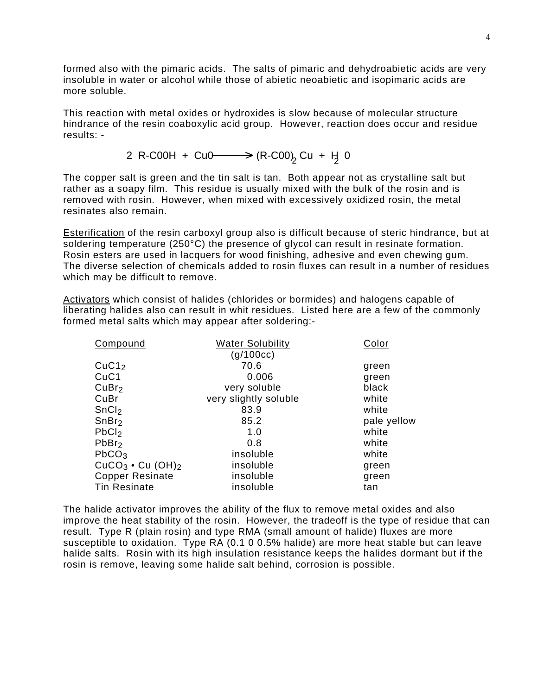formed also with the pimaric acids. The salts of pimaric and dehydroabietic acids are very insoluble in water or alcohol while those of abietic neoabietic and isopimaric acids are more soluble.

This reaction with metal oxides or hydroxides is slow because of molecular structure hindrance of the resin coaboxylic acid group. However, reaction does occur and residue results: -

2 R-C00H + Cu0  $\longrightarrow$  (R-C00)<sub>2</sub> Cu + H<sub>3</sub> 0

The copper salt is green and the tin salt is tan. Both appear not as crystalline salt but rather as a soapy film. This residue is usually mixed with the bulk of the rosin and is removed with rosin. However, when mixed with excessively oxidized rosin, the metal resinates also remain.

Esterification of the resin carboxyl group also is difficult because of steric hindrance, but at soldering temperature (250°C) the presence of glycol can result in resinate formation. Rosin esters are used in lacquers for wood finishing, adhesive and even chewing gum. The diverse selection of chemicals added to rosin fluxes can result in a number of residues which may be difficult to remove.

Activators which consist of halides (chlorides or bormides) and halogens capable of liberating halides also can result in whit residues. Listed here are a few of the commonly formed metal salts which may appear after soldering:-

| Compound                       | <b>Water Solubility</b> | Color       |
|--------------------------------|-------------------------|-------------|
|                                | (g/100cc)               |             |
| CuC1 <sub>2</sub>              | 70.6                    | green       |
| CuC1                           | 0.006                   | green       |
| CuBr <sub>2</sub>              | very soluble            | black       |
| CuBr                           | very slightly soluble   | white       |
| SnCl <sub>2</sub>              | 83.9                    | white       |
| SnBr <sub>2</sub>              | 85.2                    | pale yellow |
| PbCl <sub>2</sub>              | 1.0                     | white       |
| PbBr <sub>2</sub>              | 0.8                     | white       |
| PbCO <sub>3</sub>              | insoluble               | white       |
| $CuCO3$ • Cu (OH) <sub>2</sub> | insoluble               | green       |
| <b>Copper Resinate</b>         | insoluble               | green       |
| <b>Tin Resinate</b>            | insoluble               | tan         |

The halide activator improves the ability of the flux to remove metal oxides and also improve the heat stability of the rosin. However, the tradeoff is the type of residue that can result. Type R (plain rosin) and type RMA (small amount of halide) fluxes are more susceptible to oxidation. Type RA (0.1 0 0.5% halide) are more heat stable but can leave halide salts. Rosin with its high insulation resistance keeps the halides dormant but if the rosin is remove, leaving some halide salt behind, corrosion is possible.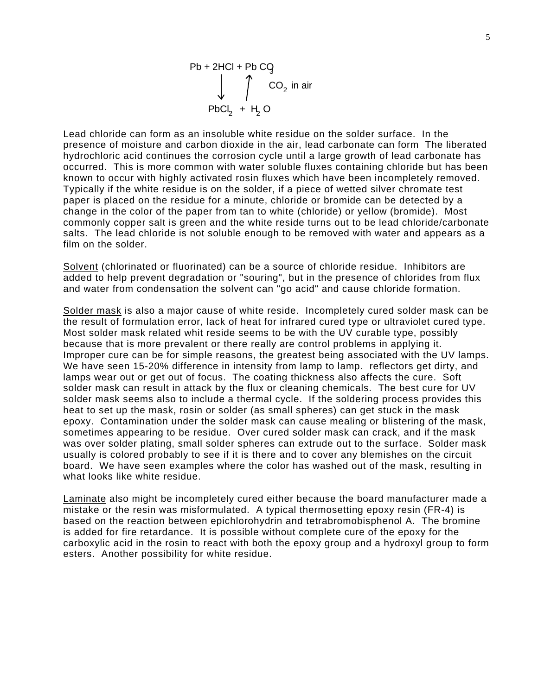

Lead chloride can form as an insoluble white residue on the solder surface. In the presence of moisture and carbon dioxide in the air, lead carbonate can form The liberated hydrochloric acid continues the corrosion cycle until a large growth of lead carbonate has occurred. This is more common with water soluble fluxes containing chloride but has been known to occur with highly activated rosin fluxes which have been incompletely removed. Typically if the white residue is on the solder, if a piece of wetted silver chromate test paper is placed on the residue for a minute, chloride or bromide can be detected by a change in the color of the paper from tan to white (chloride) or yellow (bromide). Most commonly copper salt is green and the white reside turns out to be lead chloride/carbonate salts. The lead chloride is not soluble enough to be removed with water and appears as a film on the solder.

Solvent (chlorinated or fluorinated) can be a source of chloride residue. Inhibitors are added to help prevent degradation or "souring", but in the presence of chlorides from flux and water from condensation the solvent can "go acid" and cause chloride formation.

Solder mask is also a major cause of white reside. Incompletely cured solder mask can be the result of formulation error, lack of heat for infrared cured type or ultraviolet cured type. Most solder mask related whit reside seems to be with the UV curable type, possibly because that is more prevalent or there really are control problems in applying it. Improper cure can be for simple reasons, the greatest being associated with the UV lamps. We have seen 15-20% difference in intensity from lamp to lamp. reflectors get dirty, and lamps wear out or get out of focus. The coating thickness also affects the cure. Soft solder mask can result in attack by the flux or cleaning chemicals. The best cure for UV solder mask seems also to include a thermal cycle. If the soldering process provides this heat to set up the mask, rosin or solder (as small spheres) can get stuck in the mask epoxy. Contamination under the solder mask can cause mealing or blistering of the mask, sometimes appearing to be residue. Over cured solder mask can crack, and if the mask was over solder plating, small solder spheres can extrude out to the surface. Solder mask usually is colored probably to see if it is there and to cover any blemishes on the circuit board. We have seen examples where the color has washed out of the mask, resulting in what looks like white residue.

Laminate also might be incompletely cured either because the board manufacturer made a mistake or the resin was misformulated. A typical thermosetting epoxy resin (FR-4) is based on the reaction between epichlorohydrin and tetrabromobisphenol A. The bromine is added for fire retardance. It is possible without complete cure of the epoxy for the carboxylic acid in the rosin to react with both the epoxy group and a hydroxyl group to form esters. Another possibility for white residue.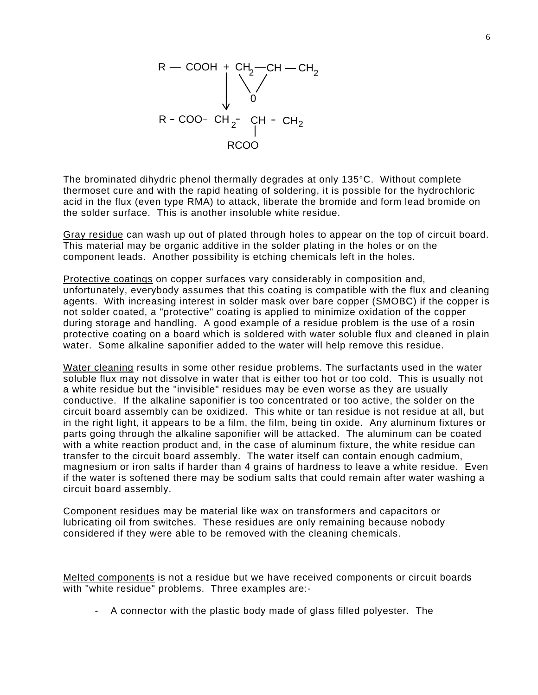

The brominated dihydric phenol thermally degrades at only 135°C. Without complete thermoset cure and with the rapid heating of soldering, it is possible for the hydrochloric acid in the flux (even type RMA) to attack, liberate the bromide and form lead bromide on the solder surface. This is another insoluble white residue.

Gray residue can wash up out of plated through holes to appear on the top of circuit board. This material may be organic additive in the solder plating in the holes or on the component leads. Another possibility is etching chemicals left in the holes.

Protective coatings on copper surfaces vary considerably in composition and, unfortunately, everybody assumes that this coating is compatible with the flux and cleaning agents. With increasing interest in solder mask over bare copper (SMOBC) if the copper is not solder coated, a "protective" coating is applied to minimize oxidation of the copper during storage and handling. A good example of a residue problem is the use of a rosin protective coating on a board which is soldered with water soluble flux and cleaned in plain water. Some alkaline saponifier added to the water will help remove this residue.

Water cleaning results in some other residue problems. The surfactants used in the water soluble flux may not dissolve in water that is either too hot or too cold. This is usually not a white residue but the "invisible" residues may be even worse as they are usually conductive. If the alkaline saponifier is too concentrated or too active, the solder on the circuit board assembly can be oxidized. This white or tan residue is not residue at all, but in the right light, it appears to be a film, the film, being tin oxide. Any aluminum fixtures or parts going through the alkaline saponifier will be attacked. The aluminum can be coated with a white reaction product and, in the case of aluminum fixture, the white residue can transfer to the circuit board assembly. The water itself can contain enough cadmium, magnesium or iron salts if harder than 4 grains of hardness to leave a white residue. Even if the water is softened there may be sodium salts that could remain after water washing a circuit board assembly.

Component residues may be material like wax on transformers and capacitors or lubricating oil from switches. These residues are only remaining because nobody considered if they were able to be removed with the cleaning chemicals.

Melted components is not a residue but we have received components or circuit boards with "white residue" problems. Three examples are:-

- A connector with the plastic body made of glass filled polyester. The